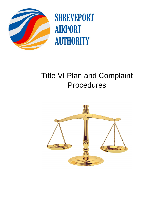

**SHREVEPORT AIRPORT AUTHORITY** 

# Title VI Plan and Complaint **Procedures**

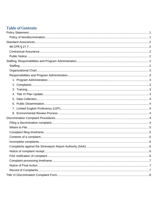# **Table of Contents**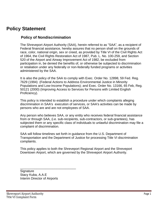# <span id="page-2-0"></span>**Policy Statement**

# <span id="page-2-1"></span>**Policy of Nondiscrimination**

The Shreveport Airport Authority (SAA), herein referred to as "SAA", as a recipient of Federal financial assistance, hereby assures that no person shall on the grounds of race, color, national origin, sex or creed, as provided by Title VI of the Civil Rights Act of 1964, the Civil Rights Restoration Act of 1987, Pub. L. No. 100-259, and Section 520 of the Airport and Airway Improvement Act of 1982, be excluded from participation in, be denied the benefits of, or otherwise be subjected to discrimination or retaliation under any federally or non-federally funded programs or activities administered by the SAA.

It is also the policy of the SAA to comply with Exec. Order No. 12898, 59 Fed. Reg. 7629 (1994) (Federal Actions to Address Environmental Justice in Minority Populations and Low-Income Populations); and Exec. Order No. 13166, 65 Feb, Reg. 50121 (2000) (Improving Access to Services for Persons with Limited English Proficiency).

This policy is intended to establish a procedure under which complaints alleging discrimination in SAA's execution of services, or SAA's activities can be made by persons who are and are not employees of SAA.

Any person who believes SAA, or any entity who receives federal financial assistance from or through SAA, (i.e. sub-recipients, sub-contractors, or sub-grantees), has subjected them or any specific class of individuals to unlawful discrimination may file a complaint of discrimination.

SAA will follow timelines set forth in guidance from the U.S. Department of Transportation and the Department of Justice for processing Title VI discrimination complaints.

This policy applies to both the Shreveport Regional Airport and the Shreveport Downtown Airport, which are governed by the Shreveport Airport Authority.

**Signature** Stacy Kuba, A.A.E Interim Director of Airports

\_\_\_\_\_\_\_\_\_\_\_\_\_\_\_\_\_\_\_\_\_\_\_\_\_\_\_\_\_\_\_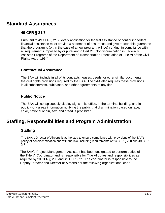# <span id="page-3-0"></span>**Standard Assurances**

# <span id="page-3-1"></span>**49 CFR § 21.7**

Pursuant to 49 CFR § 21.7, every application for federal assistance or continuing federal financial assistance must provide a statement of assurance and give reasonable guarantee that the program is (or, in the case of a new program, will be) conduct in compliance with all requirements imposed by or pursuant to Part 21 (Nondiscrimination in Federally Assisted Programs of the Department of Transportation-Effectuation of Title VI of the Civil Rights Act of 1964).

# <span id="page-3-2"></span>**Contractual Assurance**

The SAA will include in all of its contracts, leases, deeds, or other similar documents the civil rights provisions required by the FAA. The SAA also requires these provisions in all subcontracts, subleases, and other agreements at any tier.

# <span id="page-3-3"></span>**Public Notice**

The SAA will conspicuously display signs in its office, in the terminal building, and in public work areas information notifying the public that discrimination based on race, color, national origin, sex, and creed is prohibited.

# <span id="page-3-4"></span>**Staffing, Responsibilities and Program Administration**

# <span id="page-3-5"></span>**Staffing**

The SAA's Director of Airports is authorized to ensure compliance with provisions of the SAA's policy of nondiscrimination and with the law, including requirements of 23 CFR § 200 and 49 CFR § 21.

The SAA's Project Management Assistant has been designated to perform duties of the Title VI Coordinator and is responsible for Title VI duties and responsibilities as required by 23 CFR § 200 and 49 CFR § 21. The coordinator is responsible to the Deputy Director and Director of Airports per the following organizational chart.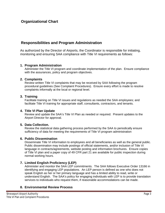## <span id="page-4-0"></span>**Organizational Chart**

## <span id="page-4-1"></span>**Responsibilities and Program Administration**

As authorized by the Director of Airports, the Coordinator is responsible for initiating, monitoring and ensuring SAA compliance with Title VI requirements as follows:

#### <span id="page-4-2"></span>**1. Program Administration**

Administer the Title VI program and coordinate implementation of the plan. Ensure compliance with the assurances, policy and program objectives.

#### <span id="page-4-3"></span>**2. Complaints**

Review written Title VI complaints that may be received by SAA following the program procedural guidelines (See Complaint Procedures). Ensure every effort is made to resolve complaints informally at the local or regional level.

#### <span id="page-4-4"></span>**3. Training**

Facilitate training on Title VI issues and regulations as needed the SAA employees; and facilitate Title VI training for appropriate staff, consultants, contractors, and tenants.

#### <span id="page-4-5"></span>**4. Title VI Plan Update**

Review and update the SAA's Title VI Plan as needed or required. Present updates to the Airport Director for approval.

#### <span id="page-4-6"></span>**5. Data Collection.**

Review the statistical data gathering process performed by the SAA to periodically ensure sufficiency of data for meeting the requirements of Title VI program administration

#### <span id="page-4-7"></span>**6. Public Dissemination**

Disseminate Title VI information to employees and all beneficiaries as well as the general public. Public dissemination may include postings of official statements, and/or inclusion of Title VI language in contracts/agreements, website posting and information brochures. Ensure copies of Title VI plan and a paper copy of 49 CFR part 21 are available for public inspection during normal working hours.

#### <span id="page-4-8"></span>**7. Limited English Proficiency (LEP)**

Administer and monitor the SAA LEP commitments. The SAA follows Executive Order 13166 in identifying and engaging LEP populations. An LEP person is defined as one who does not speak English as her or her primary language and has a limited ability to read, write or understand English. The SAA's policy for engaging individuals with LEP is to provide translation services to individuals who request them, if reasonable accommodations can be made.

#### <span id="page-4-9"></span>**8. Environmental Review Process**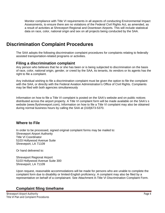Monitor compliance with Title VI requirements in all aspects of conducting Environmental Impact Assessments, to ensure there are no violations of the Federal Civil Rights Act, as amended, as a result of activities at Shreveport Regional and Downtown Airports. This will include statistical data on race, color, national origin and sex on all projects being conducted by the SAA.

# <span id="page-5-0"></span>**Discrimination Complaint Procedures**

The SAA adopts the following discrimination complaint procedures for complaints relating to federally assisted transportation-related programs or activities.

### <span id="page-5-1"></span>**Filing a discrimination complaint**

Any person who believes that he or she has been or is being subjected to discrimination on the basis of race, color, national origin, gender, or creed by the SAA, its tenants, its vendors or its agents has the right to file a complaint.

Any individual wishing to file a discrimination complaint must be given the option to file the complaint with the SAA, or directly with the Federal Aviation Administration's Office of Civil Rights. Complaints may be filed with both agencies simultaneously

Information on how to file a Title VI complaint is posted on the SAA's website and on public notices distributed across the airport property. A Title VI complaint form will be made available on the SAA's s website (www.flyshreveport.com), Information on how to file a Title VI complaint may also be obtained during normal business hours by calling the SAA at (318)673-5370.

### **Where to File**

In order to be processed, signed original complaint forms may be mailed to: Shreveport Airport Authority Title VI Coordinator 5103 Hollywood Avenue Suite Shreveport, LA 71109

Or hand delivered to:

Shreveport Regional Airport 5103 Hollywood Avenue Suite 300 Shreveport, LA 71109

Upon request, reasonable accommodations will be made for persons who are unable to complete the complaint form due to disability or limited-English proficiency. A complaint may also be filed by a representative on behalf of a complainant. See Attachment A-Title VI Discrimination Complaint Form.

# <span id="page-5-2"></span>**Complaint filing timeframe**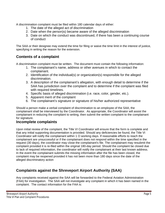A discrimination complaint must be filed within 180 calendar days of either:

- 1. The date of the alleged act of discrimination
- 2. Date when the person)s) became aware of the alleged discrimination
- 3. Date on which the conduct was discontinued, if there has been a continuing course of conduct

The SAA or their designee may extend the time for filing or waive the time limit in the interest of justice, specifying in writing the reason for the extension.

# <span id="page-6-0"></span>**Contents of a complaint**

A discrimination complaint must be written. The document must contain the following information:

- 1. The complainant's name, address or other avenues in which to contact the complainant.
- 2. Identification of the individual(s) or organization(s) responsible for the alleged discrimination.
- 3. A description of the complainant's allegation, with enough detail to determine if the SAA has jurisdiction over the complaint and to determine if the complaint was filed with required timelines.
- 4. Specific basis of alleged discrimination (i.e. race, color, gender, etc.).
- 5. Apparent merit of the complaint
- 6. The complainant's signature or signature of his/her authorized representative

Should a person make a verbal complaint of discrimination to an employee of the SAA, the complainant shall be interviewed by the Coordinator. As appropriate, the Coordinator will assist the complainant in reducing the complaint to writing, then submit the written complaint to the complainant for signature.

# <span id="page-6-1"></span>**Incomplete complaints**

Upon initial review of the complaint, the Title VI Coordinator will ensure that the form is complete and that any initial supporting documentation is provided. Should any deficiencies be found, the Title VI Coordinator will notify the complainant within 1 O working days. If reasonable efforts to reach the complainant are unsuccessful or if the complainant does not respond within the time specified in the request (30 days), the coordinator may close the complainant's file. The complainant may resubmit the complaint provided it is re-filed within the original 180-day period. Should the complaint be closed due to lack of required information, the coordinator will notify the complainant at their last known address. In the event the complainant submits the missing information after the file has been closed, the complaint may be reopened provided it has not been more than 180 days since the date of the alleged discriminatory action

# <span id="page-6-2"></span>**Complaints against the Shreveport Airport Authority (SAA)**

Any complaints received against the SAA will be forwarded to the Federal Aviation Administration (FAA) for investigation. The SAA will not investigate any complaint in which it has been named in the complaint. The contact information for the FAA is: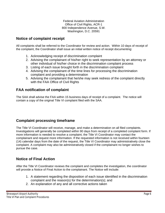Federal Aviation Administration Office of Civil Rights, ACR-1 800 Independence Avenue, S.W. Washington, D.C. 20591

# <span id="page-7-0"></span>**Notice of complaint receipt**

All complaints shall be referred to the Coordinator for review and action. Within 10 days of receipt of the complaint, the Coordinator shall issue an initial written notice of receipt documenting:

- 1. Acknowledging receipt of discrimination complaint
- 2. Advising the complainant of his/her right to seek representation by an attorney or other individual of his/her choice in the discrimination complaint process
- 3. Listing of each issue brought forth in the discrimination complaint
- 4. Advising the complainant of the time lines for processing the discrimination complaint and providing a determination
- 5. Advising the complainant that he/she may seek redress of the complaint directly with the FAA Office of Civil Rights

## <span id="page-7-1"></span>**FAA notification of complaint**

The SAA shall advise the FAA within 15 business days of receipt of a complaint. The notice will contain a copy of the original Title VI complaint filed with the SAA.

# **Complaint processing timeframe**

The Title VI Coordinator will receive, manage, and make a determination on all filed complaints. Investigations will generally be completed within 90 days from receipt of a completed complaint form. If more information is needed to resolve a complaint, the Title VI Coordinator may contact the complainant and request more information. If the requested information is not received within fourteen (14) calendar days from the date of the request, the Title VI Coordinator may administratively close the complaint. A complaint may also be administratively closed if the complainant no longer wishes to pursue the case.

# <span id="page-7-2"></span>**Notice of Final Action**

After the Title VI Coordinator reviews the complaint and completes the investigation, the coordinator will provide a Notice of Final Action to the complainant. The Notice will include:

- 1. A statement regarding the disposition of each issue identified in the discrimination complaint and the reason(s) for the determination(s); and
- 2. An explanation of any and all corrective actions taken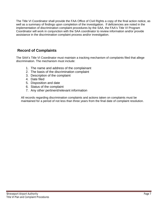The Title VI Coordinator shall provide the FAA Office of Civil Rights a copy of the final action notice, as well as a summary of findings upon completion of the investigation. If deficiencies are noted in the implementation of discrimination complaint procedures by the SAA, the FAA's Title VI Program Coordinator will work in conjunction with the SAA coordinator to review information and/or provide assistance in the discrimination complaint process and/or investigation.

# <span id="page-8-0"></span>**Record of Complaints**

The SAA's Title VI Coordinator must maintain a tracking mechanism of complaints filed that allege discrimination. The mechanism must include:

- 1. The name and address of the complainant
- 2. The basis of the discrimination complaint
- 3. Description of the complaint
- 4. Date filed
- 5. Disposition and date
- 6. Status of the complaint
- 7. Any other pertinent/relevant information

All records regarding discrimination complaints and actions taken on complaints must be maintained for a period of not less than three years from the final date of complaint resolution.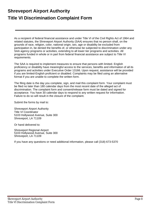# <span id="page-9-0"></span>**Shreveport Airport Authority Title VI Discrimination Complaint Form**

As a recipient of federal financial assistance and under Title VI of the Civil Rights Act of 1964 and related statutes, the Shreveport Airport Authority (SAA) ensures that no person shall, on the grounds of race, religion, color, national origin, sex, age or disability be excluded from participation in, be denied the benefits of, or otherwise be subjected to discrimination under any SAA agency programs or activities, extending to all lower tier programs and activities. All programs funded in whole or in part from federal financial assistance are subject to Title VI requirements.

The SAA is required to implement measures to ensure that persons with limited- English proficiency or disability have meaningful access to the services, benefits and information of all its programs and activities under Executive Order 13166. Upon request, assistance will be provided if you are limited-English proficient or disabled. Complaints may be filed using an alternative format if you are unable to complete the written form.

The filing date is the day you complete, sign, and mail this complaint form. Your complaint must be filed no later than 180 calendar days from the most recent date of the alleged act of discrimination. The complaint form and consent/release form must be dated and signed for acceptance. You have 30 calendar days to respond to any written request for information. Failure to do so will result in the closure of the complaint.

Submit the forms by mail to:

Shreveport Airport Authority Title VI Coordinator 5103 Hollywood Avenue, Suite 300 Shreveport, LA 71109

Or hand delivered to:

Shreveport Regional Airport 5103 Hollywood Avenue, Suite 300 Shreveport, LA 71109

If you have any questions or need additional information, please call (318) 673-5370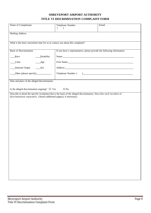### **SHREVEPORT AIRPORT AUTHORITY TITLE VI DISCRIMINATION COMPLAINT FORM**

| Name of Complainant                                                                                                    | Telephone Number:<br>$\left($<br>$\rightarrow$                                                                                                                                                                                 | Email: |  |  |
|------------------------------------------------------------------------------------------------------------------------|--------------------------------------------------------------------------------------------------------------------------------------------------------------------------------------------------------------------------------|--------|--|--|
| <b>Mailing Address</b>                                                                                                 |                                                                                                                                                                                                                                |        |  |  |
|                                                                                                                        |                                                                                                                                                                                                                                |        |  |  |
| What is the most convenient time for us to contact you about this complaint?                                           |                                                                                                                                                                                                                                |        |  |  |
| <b>Basis of Discrimination</b>                                                                                         | If you have a representative, please provide the following information:                                                                                                                                                        |        |  |  |
| _Disability<br>Race                                                                                                    | Name: Name and the set of the set of the set of the set of the set of the set of the set of the set of the set of the set of the set of the set of the set of the set of the set of the set of the set of the set of the set o |        |  |  |
| Color<br>$\_\$ {Age}                                                                                                   | Firm Name: 1988 and 1988 and 1988 and 1988 and 1988 and 1988 and 1988 and 1988 and 1988 and 1988 and 1988 and 1988 and 1988 and 1988 and 1988 and 1988 and 1988 and 1988 and 1988 and 1988 and 1988 and 1988 and 1988 and 1988 |        |  |  |
| National Origin<br>Sex                                                                                                 |                                                                                                                                                                                                                                |        |  |  |
| Other (please specify)                                                                                                 |                                                                                                                                                                                                                                |        |  |  |
| Date and place of the alleged discrimination.                                                                          |                                                                                                                                                                                                                                |        |  |  |
| Is the alleged discrimination ongoing? $\Box$ Yes<br>$\Box$ No                                                         |                                                                                                                                                                                                                                |        |  |  |
| Describe in detail the specific incident(s) that is the basis of the alleged discrimination. Describe each incident of |                                                                                                                                                                                                                                |        |  |  |
| discrimination separately. (Attach additional page(s), if necessary).                                                  |                                                                                                                                                                                                                                |        |  |  |
|                                                                                                                        |                                                                                                                                                                                                                                |        |  |  |
|                                                                                                                        |                                                                                                                                                                                                                                |        |  |  |
|                                                                                                                        |                                                                                                                                                                                                                                |        |  |  |
|                                                                                                                        |                                                                                                                                                                                                                                |        |  |  |
|                                                                                                                        |                                                                                                                                                                                                                                |        |  |  |
|                                                                                                                        |                                                                                                                                                                                                                                |        |  |  |
|                                                                                                                        |                                                                                                                                                                                                                                |        |  |  |
|                                                                                                                        |                                                                                                                                                                                                                                |        |  |  |
|                                                                                                                        |                                                                                                                                                                                                                                |        |  |  |
|                                                                                                                        |                                                                                                                                                                                                                                |        |  |  |
|                                                                                                                        |                                                                                                                                                                                                                                |        |  |  |
|                                                                                                                        |                                                                                                                                                                                                                                |        |  |  |
|                                                                                                                        |                                                                                                                                                                                                                                |        |  |  |
|                                                                                                                        |                                                                                                                                                                                                                                |        |  |  |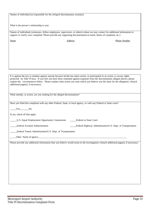Names of individual (s) responsible for the alleged discriminatory action(s):

What is the person's relationship to you:

Names of individuals (witnesses, fellow employees, supervisors, or others) whom we may contact for additional information to support or clarify your complaint: Please provide any supporting documentation (e-mails, letters of complaint, etc.)

Name Address Address Phone Number

It is against the law to retaliate against anyone because he/she has taken action, or participated in an action, to secure rights protected by Title VI laws. If you feel you have been retaliated against (separate from the discrimination alleged above), please explain the circumstances below. Please explain what action you took which you believe was the basis for the allegation. (Attach additional page(s), if necessary).

What remedy, or action, are you seeking for the alleged discrimination?

Have you filed this compliant with any other Federal, State, or local agency, or with any Federal or State court?

Yes No

If yes, check all that apply:

LU.S. Equal Employment Opportunity Commission Federal or State Court

Federal Aviation Administration Federal Highway Administration/U.S. Dept. of Transportation

Federal Transit Administration/U.S. Dept. of Transportation

Other Name of agency

Please provide any additional information that you believe would assist in the investigation: (Attach additional page(s), if necessary)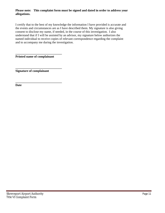#### **Please note: This complaint form must be signed and dated in order to address your allegations.**

I certify that to the best of my knowledge the information I have provided is accurate and the events and circumstances are as I have described them. My signature is also giving consent to disclose my name, if needed, in the course of this investigation. I also understand that if I will be assisted by an advisor, my signature below authorizes the named individual to receive copies of relevant correspondence regarding the complaint and to accompany me during the investigation.

**\_\_\_\_\_\_\_\_\_\_\_\_\_\_\_\_\_\_\_\_\_\_\_\_\_\_\_\_\_\_ Printed name of complainant**

**\_\_\_\_\_\_\_\_\_\_\_\_\_\_\_\_\_\_\_\_\_\_\_\_\_\_\_\_\_\_ Signature of complainant**

**\_\_\_\_\_\_\_\_\_\_\_\_\_\_\_\_\_\_\_\_\_\_\_\_\_\_\_\_\_\_**

**Date**